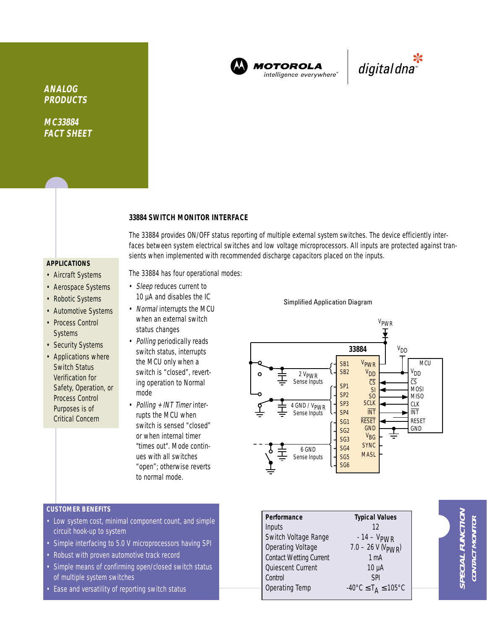

**MOTOROLA** intelligence everywhere<sup>®</sup>

\*<br>"digital dna

**ANALOG PRODUCTS**

**MC33884 FACT SHEET**

#### **33884 SWITCH MONITOR INTERFACE**

The 33884 provides ON/OFF status reporting of multiple external system switches. The device efficiently interfaces between system electrical switches and low voltage microprocessors. All inputs are protected against transients when implemented with recommended discharge capacitors placed on the inputs.

**APPLICATIONS**

- Aircraft Systems
- Aerospace Systems
- Robotic Systems
- Automotive Systems • Process Control **Systems**
- Security Systems
- Applications where Switch Status Verification for Safety, Operation, or Process Control Purposes is of Critical Concern

The 33884 has four operational modes:

- Sleep reduces current to 10 µA and disables the IC
- Normal interrupts the MCU when an external switch status changes
- Polling periodically reads switch status, interrupts the MCU only when a switch is "closed", reverting operation to Normal mode
- Polling + INT Timer interrupts the MCU when switch is sensed "closed" or when internal timer "times out". Mode continues with all switches "open"; otherwise reverts to normal mode.

## Simplified Application Diagram



### **CUSTOMER BENEFITS**

- Low system cost, minimal component count, and simple circuit hook-up to system
- Simple interfacing to 5.0 V microprocessors having SPI
- Robust with proven automotive track record
- Simple means of confirming open/closed switch status of multiple system switches
- Ease and versatility of reporting switch status

| Performance    |                                | <b>Typical Values</b>                              |
|----------------|--------------------------------|----------------------------------------------------|
| Inputs         |                                | 12                                                 |
|                | Switch Voltage Range           | $-14 - VPWR$                                       |
|                | <b>Operating Voltage</b>       | $7.0 - 26$ V (V <sub>PWR</sub> )                   |
|                | <b>Contact Wetting Current</b> | 1 <sub>mA</sub>                                    |
|                | Quiescent Current              | $10 \mu A$                                         |
| Control        |                                | <b>SPI</b>                                         |
| Operating Temp |                                | $-40^{\circ}$ C $\leq$ T <sub>A</sub> $\leq$ 105°C |
|                |                                |                                                    |

**SPECIAL FUNCTION** PECIAL FUNCTIOI **CONTACT MONITOR** CONTACT MONITO